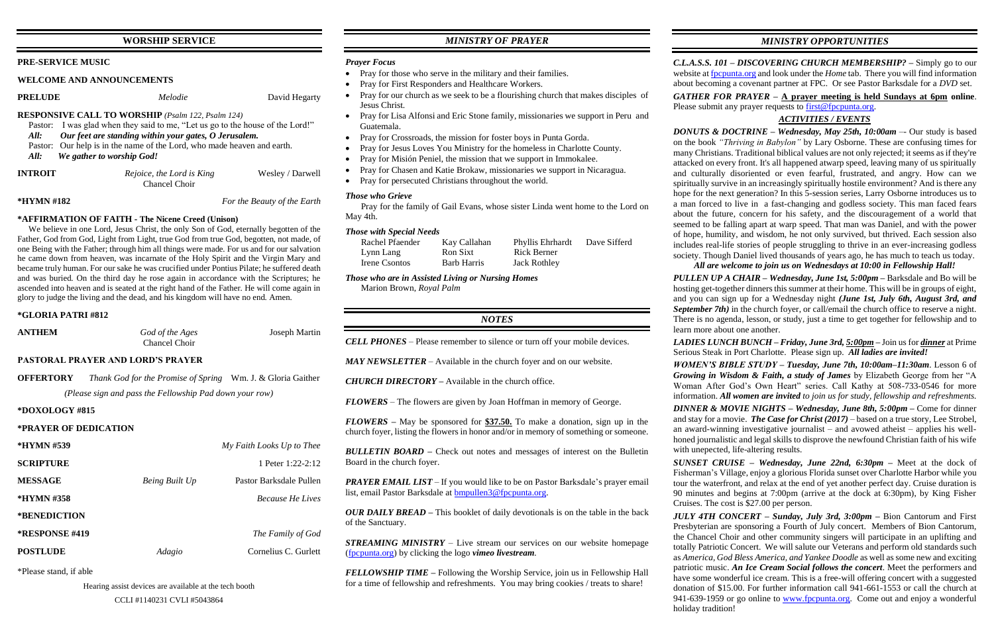# **WORSHIP SERVICE**

### **PRE-SERVICE MUSIC**

### **WELCOME AND ANNOUNCEMENTS**

**PRELUDE** *Melodie* David Hegarty

### **RESPONSIVE CALL TO WORSHIP** *(Psalm 122, Psalm 124)*

- Pastor: I was glad when they said to me, "Let us go to the house of the Lord!" *All: Our feet are standing within your gates, O Jerusalem.*
- Pastor: Our help is in the name of the Lord, who made heaven and earth.
- *All: We gather to worship God!*
- **INTROIT** *Rejoice, the Lord is King* Wesley / Darwell Chancel Choir

**\*HYMN #182** *For the Beauty of the Earth*

## **\*AFFIRMATION OF FAITH - The Nicene Creed (Unison)**

 We believe in one Lord, Jesus Christ, the only Son of God, eternally begotten of the Father, God from God, Light from Light, true God from true God, begotten, not made, of one Being with the Father; through him all things were made. For us and for our salvation he came down from heaven, was incarnate of the Holy Spirit and the Virgin Mary and became truly human. For our sake he was crucified under Pontius Pilate; he suffered death and was buried. On the third day he rose again in accordance with the Scriptures; he ascended into heaven and is seated at the right hand of the Father. He will come again in glory to judge the living and the dead, and his kingdom will have no end. Amen.

### **\*GLORIA PATRI #812**

| <b>ANTHEM</b>                                           | God of the Ages<br>Chancel Choir                                   | <b>Joseph Martin</b>      |  |  |  |
|---------------------------------------------------------|--------------------------------------------------------------------|---------------------------|--|--|--|
| <b>PASTORAL PRAYER AND LORD'S PRAYER</b>                |                                                                    |                           |  |  |  |
| <b>OFFERTORY</b>                                        | <i>Thank God for the Promise of Spring</i> Wm. J. & Gloria Gaither |                           |  |  |  |
| (Please sign and pass the Fellowship Pad down your row) |                                                                    |                           |  |  |  |
| *DOXOLOGY #815                                          |                                                                    |                           |  |  |  |
| *PRAYER OF DEDICATION                                   |                                                                    |                           |  |  |  |
| *HYMN #539                                              |                                                                    | My Faith Looks Up to Thee |  |  |  |
| <b>SCRIPTURE</b>                                        |                                                                    | 1 Peter $1:22-2:12$       |  |  |  |
| <b>MESSAGE</b>                                          | Being Built Up                                                     | Pastor Barksdale Pullen   |  |  |  |
| *HYMN #358                                              |                                                                    | <b>Because He Lives</b>   |  |  |  |
| <i><b>*BENEDICTION</b></i>                              |                                                                    |                           |  |  |  |
| *RESPONSE #419                                          |                                                                    | The Family of God         |  |  |  |
| <b>POSTLUDE</b>                                         | Adagio                                                             | Cornelius C. Gurlett      |  |  |  |

\*Please stand, if able

*PRAYER EMAIL LIST* – If you would like to be on Pastor Barksdale's prayer email list, email Pastor Barksdale at [bmpullen3@fpcpunta.org.](about:blank)

Hearing assist devices are available at the tech booth

# *MINISTRY OF PRAYER*

## *Prayer Focus*

- Pray for those who serve in the military and their families.
- Pray for First Responders and Healthcare Workers.
- Pray for our church as we seek to be a flourishing church that makes disciples of Jesus Christ.
- Pray for Lisa Alfonsi and Eric Stone family, missionaries we support in Peru and Guatemala.
- Pray for Crossroads, the mission for foster boys in Punta Gorda.
- Pray for Jesus Loves You Ministry for the homeless in Charlotte County.
- Pray for Misión Peniel, the mission that we support in Immokalee.
- Pray for Chasen and Katie Brokaw, missionaries we support in Nicaragua.
- Pray for persecuted Christians throughout the world.

*GATHER FOR PRAYER –* **A prayer meeting is held Sundays at 6pm online**. Please submit any prayer requests to  $first@fpc$  punta.org.

# *Those who Grieve*

 Pray for the family of Gail Evans, whose sister Linda went home to the Lord on May 4th.

### *Those with Special Needs*

| Rachel Pfaender | Kay Callahan       | <b>Phyllis Ehrhardt</b> | Dave Sifferd |
|-----------------|--------------------|-------------------------|--------------|
| Lynn Lang       | Ron Sixt           | Rick Berner             |              |
| Irene Csontos   | <b>Barb Harris</b> | <b>Jack Rothley</b>     |              |

*Those who are in Assisted Living or Nursing Homes* Marion Brown, *Royal Palm*

# *NOTES*

*CELL PHONES –* Please remember to silence or turn off your mobile devices.

*MAY NEWSLETTER –* Available in the church foyer and on our website.

*CHURCH DIRECTORY –* Available in the church office.

*FLOWERS* – The flowers are given by Joan Hoffman in memory of George.

*FLOWERS –* May be sponsored for **\$37.50.** To make a donation, sign up in the church foyer, listing the flowers in honor and/or in memory of something or someone.

*BULLETIN BOARD –* Check out notes and messages of interest on the Bulletin Board in the church foyer.

*OUR DAILY BREAD –* This booklet of daily devotionals is on the table in the back of the Sanctuary.

*STREAMING MINISTRY –* Live stream our services on our website homepage [\(fpcpunta.org\)](about:blank) by clicking the logo *vimeo livestream.*

*FELLOWSHIP TIME –* Following the Worship Service, join us in Fellowship Hall for a time of fellowship and refreshments. You may bring cookies / treats to share!

*MINISTRY OPPORTUNITIES*

*C.L.A.S.S. 101 – DISCOVERING CHURCH MEMBERSHIP? –* Simply go to our website a[t fpcpunta.org](about:blank) and look under the *Home* tab. There you will find information about becoming a covenant partner at FPC. Or see Pastor Barksdale for a *DVD* set.

# *ACTIVITIES / EVENTS*

*DONUTS & DOCTRINE – Wednesday, May 25th, 10:00am* –- Our study is based on the book *"Thriving in Babylon"* by Lary Osborne. These are confusing times for many Christians. Traditional biblical values are not only rejected; it seems as if they're attacked on every front. It's all happened atwarp speed, leaving many of us spiritually and culturally disoriented or even fearful, frustrated, and angry. How can we spiritually survive in an increasingly spiritually hostile environment? And is there any hope for the next generation? In this 5-session series, Larry Osborne introduces us to a man forced to live in a fast-changing and godless society. This man faced fears about the future, concern for his safety, and the discouragement of a world that seemed to be falling apart at warp speed. That man was Daniel, and with the power of hope, humility, and wisdom, he not only survived, but thrived. Each session also includes real-life stories of people struggling to thrive in an ever-increasing godless society. Though Daniel lived thousands of years ago, he has much to teach us today. *All are welcome to join us on Wednesdays at 10:00 in Fellowship Hall!*

*PULLEN UP A CHAIR – Wednesday, June 1st, 5:00pm –* Barksdale and Bo will be hosting get-together dinners this summer at their home. This will be in groups of eight, and you can sign up for a Wednesday night *(June 1st, July 6th, August 3rd, and September 7th*) in the church foyer, or call/email the church office to reserve a night. There is no agenda, lesson, or study, just a time to get together for fellowship and to

learn more about one another.

*LADIES LUNCH BUNCH – Friday, June 3rd, 5:00pm –* Join us for *dinner* at Prime Serious Steak in Port Charlotte. Please sign up. *All ladies are invited!*

*WOMEN'S BIBLE STUDY – Tuesday, June 7th, 10:00am–11:30am*. Lesson 6 of *Growing in Wisdom & Faith, a study of James* by Elizabeth George from her "A Woman After God's Own Heart" series. Call Kathy at 508-733-0546 for more information. *All women are invited to join us for study, fellowship and refreshments.*

*DINNER & MOVIE NIGHTS – Wednesday, June 8th, 5:00pm –* Come for dinner and stay for a movie. *The Case for Christ (2017)* – based on a true story, Lee Strobel, an award-winning investigative journalist – and avowed atheist – applies his wellhoned journalistic and legal skills to disprove the newfound Christian faith of his wife with unepected, life-altering results.

*SUNSET CRUISE – Wednesday, June 22nd, 6:30pm –* Meet at the dock of Fisherman's Village, enjoy a glorious Florida sunset over Charlotte Harbor while you tour the waterfront, and relax at the end of yet another perfect day. Cruise duration is 90 minutes and begins at 7:00pm (arrive at the dock at 6:30pm), by King Fisher Cruises. The cost is \$27.00 per person.

*JULY 4TH CONCERT – Sunday, July 3rd, 3:00pm –* Bion Cantorum and First Presbyterian are sponsoring a Fourth of July concert. Members of Bion Cantorum, the Chancel Choir and other community singers will participate in an uplifting and totally Patriotic Concert. We will salute our Veterans and perform old standards such as *America, God Bless America, and Yankee Doodle* as well as some new and exciting patriotic music. *An Ice Cream Social follows the concert*. Meet the performers and have some wonderful ice cream. This is a free-will offering concert with a suggested donation of \$15.00. For further information call 941-661-1553 or call the church at 941-639-1959 or go online to [www.fpcpunta.org.](http://www.fpcpunta.org/) Come out and enjoy a wonderful holiday tradition!